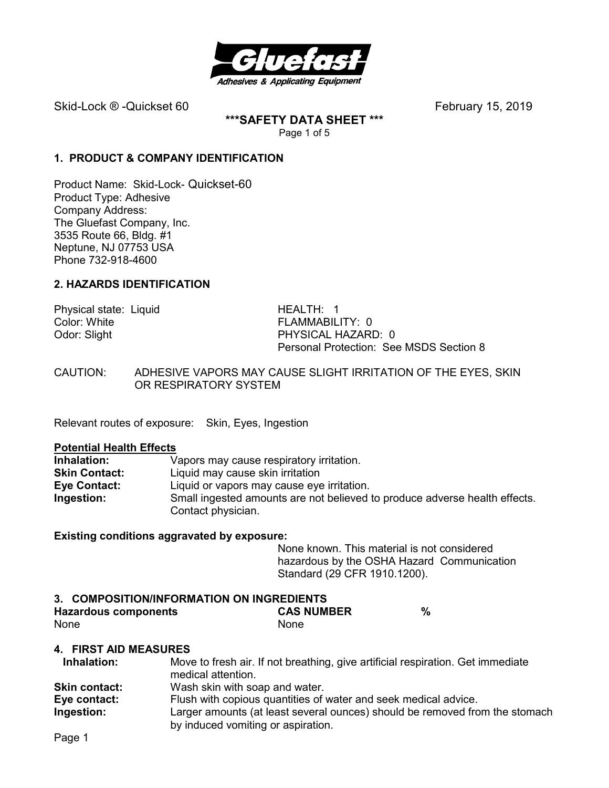

**\*\*\*SAFETY DATA SHEET \*\*\***  Page 1 of 5

## **1. PRODUCT & COMPANY IDENTIFICATION**

Product Name: Skid-Lock- Quickset-60 Product Type: Adhesive Company Address: The Gluefast Company, Inc. 3535 Route 66, Bldg. #1 Neptune, NJ 07753 USA Phone 732-918-4600

# **2. HAZARDS IDENTIFICATION**

Physical state: Liquid HEALTH: 1<br>Color: White Golor: White Color: White FLAMMABILITY: 0<br>
Odor: Slight FERAMMABILITY: 0

PHYSICAL HAZARD: 0 Personal Protection: See MSDS Section 8

CAUTION: ADHESIVE VAPORS MAY CAUSE SLIGHT IRRITATION OF THE EYES, SKIN OR RESPIRATORY SYSTEM

Relevant routes of exposure: Skin, Eyes, Ingestion

#### **Potential Health Effects**

| Inhalation:          | Vapors may cause respiratory irritation.                                   |
|----------------------|----------------------------------------------------------------------------|
| <b>Skin Contact:</b> | Liquid may cause skin irritation                                           |
| Eye Contact:         | Liquid or vapors may cause eye irritation.                                 |
| Ingestion:           | Small ingested amounts are not believed to produce adverse health effects. |
|                      | Contact physician.                                                         |

#### **Existing conditions aggravated by exposure:**

None known. This material is not considered hazardous by the OSHA Hazard Communication Standard (29 CFR 1910.1200).

#### **3. COMPOSITION/INFORMATION ON INGREDIENTS**

| Hazardous components | <b>CAS NUMBER</b> | $\%$ |
|----------------------|-------------------|------|
| None                 | None              |      |

#### **4. FIRST AID MEASURES**

| Inhalation:          | Move to fresh air. If not breathing, give artificial respiration. Get immediate                                   |
|----------------------|-------------------------------------------------------------------------------------------------------------------|
|                      | medical attention.                                                                                                |
| <b>Skin contact:</b> | Wash skin with soap and water.                                                                                    |
| Eye contact:         | Flush with copious quantities of water and seek medical advice.                                                   |
| Ingestion:           | Larger amounts (at least several ounces) should be removed from the stomach<br>by induced vomiting or aspiration. |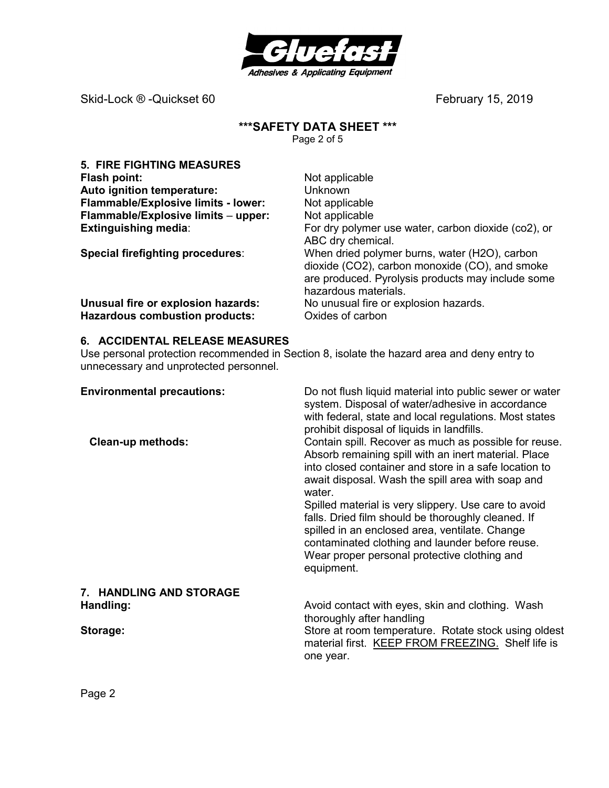

# **\*\*\*SAFETY DATA SHEET \*\*\***

Page 2 of 5

| <b>5. FIRE FIGHTING MEASURES</b>      |                                                                                                                                                                              |
|---------------------------------------|------------------------------------------------------------------------------------------------------------------------------------------------------------------------------|
| Flash point:                          | Not applicable                                                                                                                                                               |
| Auto ignition temperature:            | <b>Unknown</b>                                                                                                                                                               |
| Flammable/Explosive limits - lower:   | Not applicable                                                                                                                                                               |
| Flammable/Explosive limits - upper:   | Not applicable                                                                                                                                                               |
| <b>Extinguishing media:</b>           | For dry polymer use water, carbon dioxide (co2), or<br>ABC dry chemical.                                                                                                     |
| Special firefighting procedures:      | When dried polymer burns, water (H2O), carbon<br>dioxide (CO2), carbon monoxide (CO), and smoke<br>are produced. Pyrolysis products may include some<br>hazardous materials. |
| Unusual fire or explosion hazards:    | No unusual fire or explosion hazards.                                                                                                                                        |
| <b>Hazardous combustion products:</b> | Oxides of carbon                                                                                                                                                             |

# **6. ACCIDENTAL RELEASE MEASURES**

Use personal protection recommended in Section 8, isolate the hazard area and deny entry to unnecessary and unprotected personnel.

| <b>Environmental precautions:</b><br><b>Clean-up methods:</b> | Do not flush liquid material into public sewer or water<br>system. Disposal of water/adhesive in accordance<br>with federal, state and local regulations. Most states<br>prohibit disposal of liquids in landfills.<br>Contain spill. Recover as much as possible for reuse.  |
|---------------------------------------------------------------|-------------------------------------------------------------------------------------------------------------------------------------------------------------------------------------------------------------------------------------------------------------------------------|
|                                                               | Absorb remaining spill with an inert material. Place<br>into closed container and store in a safe location to<br>await disposal. Wash the spill area with soap and<br>water.                                                                                                  |
|                                                               | Spilled material is very slippery. Use care to avoid<br>falls. Dried film should be thoroughly cleaned. If<br>spilled in an enclosed area, ventilate. Change<br>contaminated clothing and launder before reuse.<br>Wear proper personal protective clothing and<br>equipment. |
| 7. HANDLING AND STORAGE                                       |                                                                                                                                                                                                                                                                               |
| Handling:                                                     | Avoid contact with eyes, skin and clothing. Wash<br>thoroughly after handling                                                                                                                                                                                                 |
| Storage:                                                      | Store at room temperature. Rotate stock using oldest<br>material first. KEEP FROM FREEZING. Shelf life is<br>one year.                                                                                                                                                        |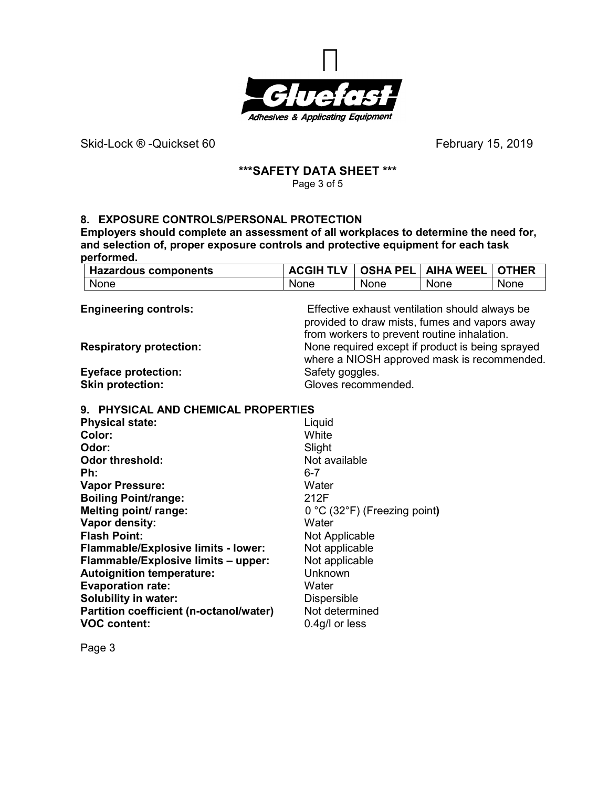

### **\*\*\*SAFETY DATA SHEET \*\*\***  Page 3 of 5

# **8. EXPOSURE CONTROLS/PERSONAL PROTECTION**

**Employers should complete an assessment of all workplaces to determine the need for, and selection of, proper exposure controls and protective equipment for each task performed.** 

| <b>Hazardous components</b> | <b>ACGIH TLV</b> | ∣ OSHA PEL I | <b>AIHA WEEL</b> | ∣ OTHER |
|-----------------------------|------------------|--------------|------------------|---------|
| None                        | None             | None         | None             | None    |

| <b>Engineering controls:</b><br><b>Respiratory protection:</b> | Effective exhaust ventilation should always be<br>provided to draw mists, fumes and vapors away<br>from workers to prevent routine inhalation.<br>None required except if product is being sprayed<br>where a NIOSH approved mask is recommended. |
|----------------------------------------------------------------|---------------------------------------------------------------------------------------------------------------------------------------------------------------------------------------------------------------------------------------------------|
| <b>Eyeface protection:</b>                                     | Safety goggles.                                                                                                                                                                                                                                   |
| <b>Skin protection:</b>                                        | Gloves recommended.                                                                                                                                                                                                                               |

# **9. PHYSICAL AND CHEMICAL PROPERTIES**

| <b>Physical state:</b>                     | Liquid                                           |
|--------------------------------------------|--------------------------------------------------|
| Color:                                     | White                                            |
| Odor:                                      | Slight                                           |
| <b>Odor threshold:</b>                     | Not available                                    |
| Ph:                                        | $6 - 7$                                          |
| <b>Vapor Pressure:</b>                     | Water                                            |
| <b>Boiling Point/range:</b>                | 212F                                             |
| Melting point/ range:                      | $0^{\circ}$ C (32 $^{\circ}$ F) (Freezing point) |
| Vapor density:                             | Water                                            |
| <b>Flash Point:</b>                        | Not Applicable                                   |
| <b>Flammable/Explosive limits - lower:</b> | Not applicable                                   |
| Flammable/Explosive limits - upper:        | Not applicable                                   |
| <b>Autoignition temperature:</b>           | Unknown                                          |
| <b>Evaporation rate:</b>                   | Water                                            |
| <b>Solubility in water:</b>                | <b>Dispersible</b>                               |
| Partition coefficient (n-octanol/water)    | Not determined                                   |
| <b>VOC content:</b>                        | $0.4$ g/l or less                                |
|                                            |                                                  |

Page 3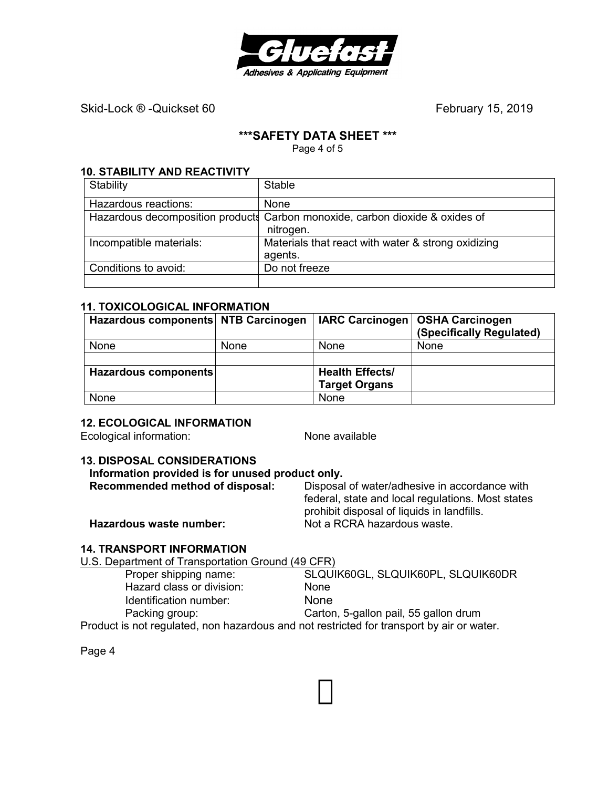

## **\*\*\*SAFETY DATA SHEET \*\*\***

Page 4 of 5

# **10. STABILITY AND REACTIVITY**

| Stability               | <b>Stable</b>                                                                |
|-------------------------|------------------------------------------------------------------------------|
| Hazardous reactions:    | None                                                                         |
|                         | Hazardous decomposition products Carbon monoxide, carbon dioxide & oxides of |
|                         | nitrogen.                                                                    |
| Incompatible materials: | Materials that react with water & strong oxidizing                           |
|                         | agents.                                                                      |
| Conditions to avoid:    | Do not freeze                                                                |
|                         |                                                                              |

## **11. TOXICOLOGICAL INFORMATION**

| Hazardous components NTB Carcinogen |      |                        | IARC Carcinogen   OSHA Carcinogen<br>(Specifically Regulated) |
|-------------------------------------|------|------------------------|---------------------------------------------------------------|
| None                                | None | <b>None</b>            | <b>None</b>                                                   |
|                                     |      |                        |                                                               |
| Hazardous components                |      | <b>Health Effects/</b> |                                                               |
|                                     |      | <b>Target Organs</b>   |                                                               |
| None                                |      | None                   |                                                               |

# **12. ECOLOGICAL INFORMATION**

Ecological information: None available

## **13. DISPOSAL CONSIDERATIONS**

# **Information provided is for unused product only.**

| Disposal of water/adhesive in accordance with     |
|---------------------------------------------------|
| federal, state and local regulations. Most states |
| prohibit disposal of liquids in landfills.        |
| Not a RCRA hazardous waste.                       |
|                                                   |

## **14. TRANSPORT INFORMATION**

U.S. Department of Transportation Ground (49 CFR)

| Proper shipping name:                                                                     | SLQUIK60GL, SLQUIK60PL, SLQUIK60DR    |
|-------------------------------------------------------------------------------------------|---------------------------------------|
| Hazard class or division:                                                                 | <b>None</b>                           |
| Identification number:                                                                    | <b>None</b>                           |
| Packing group:                                                                            | Carton, 5-gallon pail, 55 gallon drum |
| Product is not regulated, non hazardous and not restricted for transport by air or water. |                                       |

Page 4